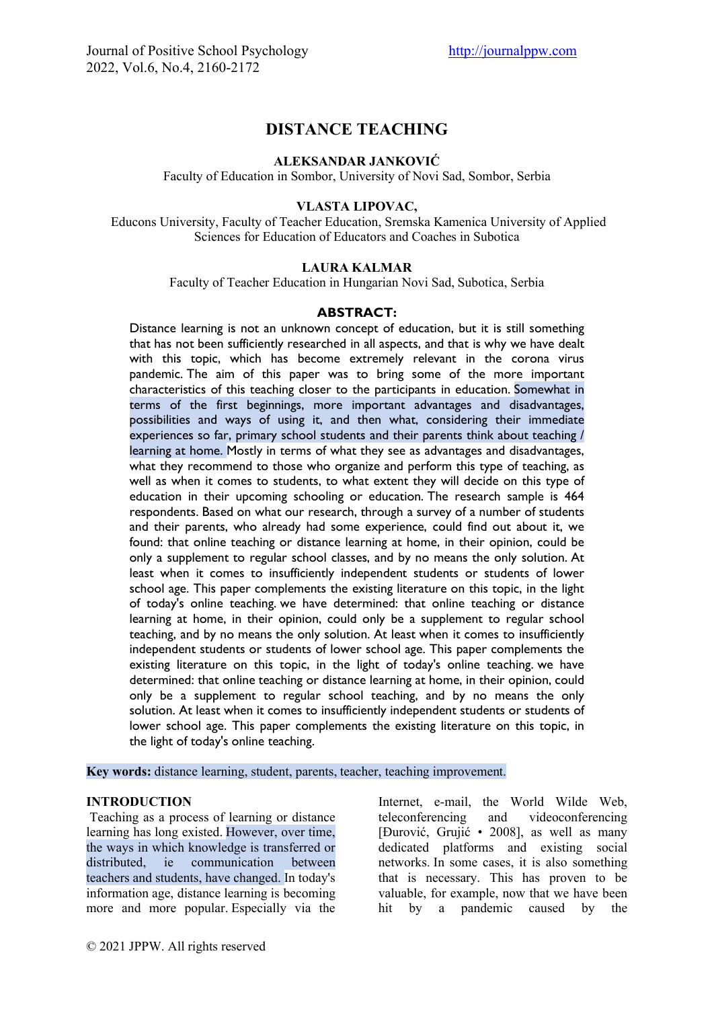# **DISTANCE TEACHING**

## **ALEKSANDAR JANKOVIĆ**

Faculty of Education in Sombor, University of Novi Sad, Sombor, Serbia

### **VLASTA LIPOVAC,**

Educons University, Faculty of Teacher Education, Sremska Kamenica University of Applied Sciences for Education of Educators and Coaches in Subotica

# **LAURA KALMAR**

Faculty of Teacher Education in Hungarian Novi Sad, Subotica, Serbia

#### **ABSTRACT:**

Distance learning is not an unknown concept of education, but it is still something that has not been sufficiently researched in all aspects, and that is why we have dealt with this topic, which has become extremely relevant in the corona virus pandemic. The aim of this paper was to bring some of the more important characteristics of this teaching closer to the participants in education. Somewhat in terms of the first beginnings, more important advantages and disadvantages, possibilities and ways of using it, and then what, considering their immediate experiences so far, primary school students and their parents think about teaching / learning at home. Mostly in terms of what they see as advantages and disadvantages, what they recommend to those who organize and perform this type of teaching, as well as when it comes to students, to what extent they will decide on this type of education in their upcoming schooling or education. The research sample is 464 respondents. Based on what our research, through a survey of a number of students and their parents, who already had some experience, could find out about it, we found: that online teaching or distance learning at home, in their opinion, could be only a supplement to regular school classes, and by no means the only solution. At least when it comes to insufficiently independent students or students of lower school age. This paper complements the existing literature on this topic, in the light of today's online teaching. we have determined: that online teaching or distance learning at home, in their opinion, could only be a supplement to regular school teaching, and by no means the only solution. At least when it comes to insufficiently independent students or students of lower school age. This paper complements the existing literature on this topic, in the light of today's online teaching. we have determined: that online teaching or distance learning at home, in their opinion, could only be a supplement to regular school teaching, and by no means the only solution. At least when it comes to insufficiently independent students or students of lower school age. This paper complements the existing literature on this topic, in the light of today's online teaching.

**Key words:** distance learning, student, parents, teacher, teaching improvement.

#### **INTRODUCTION**

Teaching as a process of learning or distance learning has long existed. However, over time, the ways in which knowledge is transferred or distributed, ie communication between teachers and students, have changed. In today's information age, distance learning is becoming more and more popular. Especially via the

Internet, e-mail, the World Wilde Web, teleconferencing and videoconferencing [Đurović, Grujić • 2008], as well as many dedicated platforms and existing social networks. In some cases, it is also something that is necessary. This has proven to be valuable, for example, now that we have been hit by a pandemic caused by the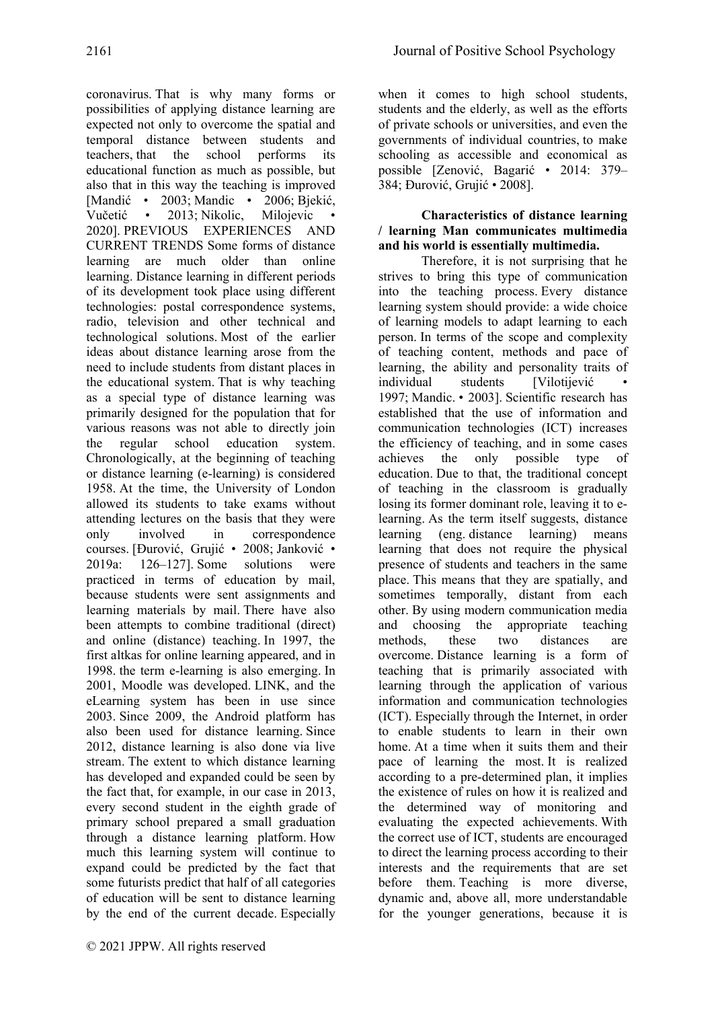coronavirus. That is why many forms or possibilities of applying distance learning are expected not only to overcome the spatial and temporal distance between students and teachers, that the school performs its educational function as much as possible, but also that in this way the teaching is improved [Mandić • 2003; Mandic • 2006; Bjekić, Vučetić • 2013; Nikolic, Milojevic • 2020]. PREVIOUS EXPERIENCES AND CURRENT TRENDS Some forms of distance learning are much older than online learning. Distance learning in different periods of its development took place using different technologies: postal correspondence systems, radio, television and other technical and technological solutions. Most of the earlier ideas about distance learning arose from the need to include students from distant places in the educational system. That is why teaching as a special type of distance learning was primarily designed for the population that for various reasons was not able to directly join the regular school education system. Chronologically, at the beginning of teaching or distance learning (e-learning) is considered 1958. At the time, the University of London allowed its students to take exams without attending lectures on the basis that they were only involved in correspondence courses. [Đurović, Grujić • 2008; Janković • 2019a: 126–127]. Some solutions were practiced in terms of education by mail, because students were sent assignments and learning materials by mail. There have also been attempts to combine traditional (direct) and online (distance) teaching. In 1997, the first altkas for online learning appeared, and in 1998. the term e-learning is also emerging. In 2001, Moodle was developed. LINK, and the eLearning system has been in use since 2003. Since 2009, the Android platform has also been used for distance learning. Since 2012, distance learning is also done via live stream. The extent to which distance learning has developed and expanded could be seen by the fact that, for example, in our case in 2013, every second student in the eighth grade of primary school prepared a small graduation through a distance learning platform. How much this learning system will continue to expand could be predicted by the fact that some futurists predict that half of all categories of education will be sent to distance learning by the end of the current decade. Especially when it comes to high school students, students and the elderly, as well as the efforts of private schools or universities, and even the governments of individual countries, to make schooling as accessible and economical as possible [Zenović, Bagarić • 2014: 379– 384; Đurović, Grujić • 2008].

### **Characteristics of distance learning / learning Man communicates multimedia and his world is essentially multimedia.**

Therefore, it is not surprising that he strives to bring this type of communication into the teaching process. Every distance learning system should provide: a wide choice of learning models to adapt learning to each person. In terms of the scope and complexity of teaching content, methods and pace of learning, the ability and personality traits of individual students [Vilotijević • 1997; Mandic. • 2003]. Scientific research has established that the use of information and communication technologies (ICT) increases the efficiency of teaching, and in some cases achieves the only possible type of education. Due to that, the traditional concept of teaching in the classroom is gradually losing its former dominant role, leaving it to elearning. As the term itself suggests, distance learning (eng. distance learning) means learning that does not require the physical presence of students and teachers in the same place. This means that they are spatially, and sometimes temporally, distant from each other. By using modern communication media and choosing the appropriate teaching methods, these two distances are overcome. Distance learning is a form of teaching that is primarily associated with learning through the application of various information and communication technologies (ICT). Especially through the Internet, in order to enable students to learn in their own home. At a time when it suits them and their pace of learning the most. It is realized according to a pre-determined plan, it implies the existence of rules on how it is realized and the determined way of monitoring and evaluating the expected achievements. With the correct use of ICT, students are encouraged to direct the learning process according to their interests and the requirements that are set before them. Teaching is more diverse, dynamic and, above all, more understandable for the younger generations, because it is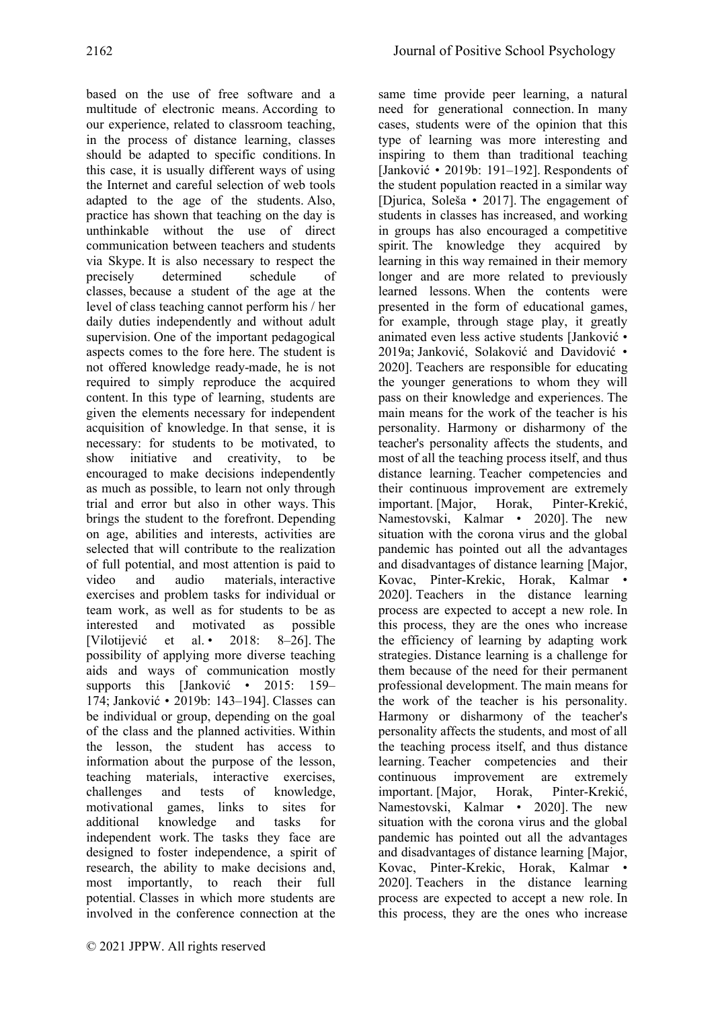based on the use of free software and a multitude of electronic means. According to our experience, related to classroom teaching, in the process of distance learning, classes should be adapted to specific conditions. In this case, it is usually different ways of using the Internet and careful selection of web tools adapted to the age of the students. Also, practice has shown that teaching on the day is unthinkable without the use of direct communication between teachers and students via Skype. It is also necessary to respect the precisely determined schedule of classes, because a student of the age at the level of class teaching cannot perform his / her daily duties independently and without adult supervision. One of the important pedagogical aspects comes to the fore here. The student is not offered knowledge ready-made, he is not required to simply reproduce the acquired content. In this type of learning, students are given the elements necessary for independent acquisition of knowledge. In that sense, it is necessary: for students to be motivated, to show initiative and creativity, to be encouraged to make decisions independently as much as possible, to learn not only through trial and error but also in other ways. This brings the student to the forefront. Depending on age, abilities and interests, activities are selected that will contribute to the realization of full potential, and most attention is paid to video and audio materials, interactive exercises and problem tasks for individual or team work, as well as for students to be as interested and motivated as possible [Vilotijević et al. • 2018: 8–26]. The possibility of applying more diverse teaching aids and ways of communication mostly supports this [Janković • 2015: 159– 174; Janković • 2019b: 143–194]. Classes can be individual or group, depending on the goal of the class and the planned activities. Within the lesson, the student has access to information about the purpose of the lesson, teaching materials, interactive exercises, challenges and tests of knowledge, motivational games, links to sites for additional knowledge and tasks for independent work. The tasks they face are designed to foster independence, a spirit of research, the ability to make decisions and, most importantly, to reach their full potential. Classes in which more students are involved in the conference connection at the

same time provide peer learning, a natural need for generational connection. In many cases, students were of the opinion that this type of learning was more interesting and inspiring to them than traditional teaching [Janković • 2019b: 191–192]. Respondents of the student population reacted in a similar way [Djurica, Soleša • 2017]. The engagement of students in classes has increased, and working in groups has also encouraged a competitive spirit. The knowledge they acquired by learning in this way remained in their memory longer and are more related to previously learned lessons. When the contents were presented in the form of educational games, for example, through stage play, it greatly animated even less active students [Janković • 2019a; Janković, Solaković and Davidović • 2020]. Teachers are responsible for educating the younger generations to whom they will pass on their knowledge and experiences. The main means for the work of the teacher is his personality. Harmony or disharmony of the teacher's personality affects the students, and most of all the teaching process itself, and thus distance learning. Teacher competencies and their continuous improvement are extremely important. [Major, Horak, Pinter-Krekić, Namestovski, Kalmar • 2020]. The new situation with the corona virus and the global pandemic has pointed out all the advantages and disadvantages of distance learning [Major, Kovac, Pinter-Krekic, Horak, Kalmar • 2020]. Teachers in the distance learning process are expected to accept a new role. In this process, they are the ones who increase the efficiency of learning by adapting work strategies. Distance learning is a challenge for them because of the need for their permanent professional development. The main means for the work of the teacher is his personality. Harmony or disharmony of the teacher's personality affects the students, and most of all the teaching process itself, and thus distance learning. Teacher competencies and their continuous improvement are extremely important. [Major, Horak, Pinter-Krekić, Namestovski, Kalmar • 2020]. The new situation with the corona virus and the global pandemic has pointed out all the advantages and disadvantages of distance learning [Major, Kovac, Pinter-Krekic, Horak, Kalmar • 2020]. Teachers in the distance learning process are expected to accept a new role. In this process, they are the ones who increase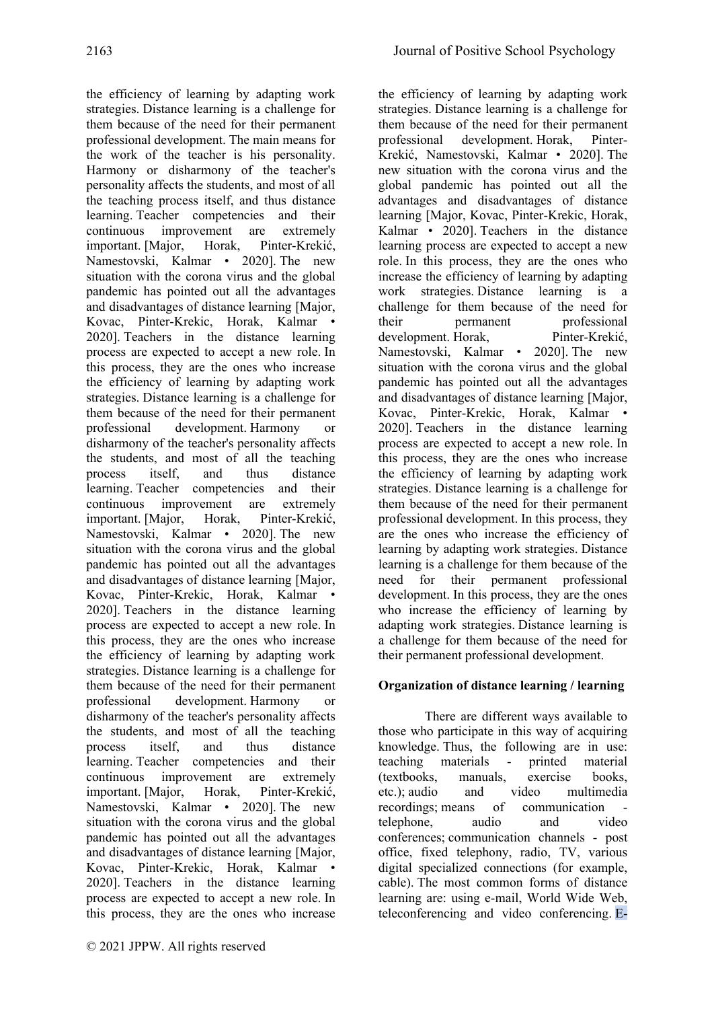the efficiency of learning by adapting work strategies. Distance learning is a challenge for them because of the need for their permanent professional development. The main means for the work of the teacher is his personality. Harmony or disharmony of the teacher's personality affects the students, and most of all the teaching process itself, and thus distance learning. Teacher competencies and their continuous improvement are extremely important. [Major, Horak, Pinter-Krekić, Namestovski, Kalmar • 2020]. The new situation with the corona virus and the global pandemic has pointed out all the advantages and disadvantages of distance learning [Major, Kovac, Pinter-Krekic, Horak, Kalmar • 2020]. Teachers in the distance learning process are expected to accept a new role. In this process, they are the ones who increase the efficiency of learning by adapting work strategies. Distance learning is a challenge for them because of the need for their permanent professional development. Harmony or disharmony of the teacher's personality affects the students, and most of all the teaching process itself, and thus distance learning. Teacher competencies and their continuous improvement are extremely important. [Major, Horak, Pinter-Krekić, Namestovski, Kalmar • 2020]. The new situation with the corona virus and the global pandemic has pointed out all the advantages and disadvantages of distance learning [Major, Kovac, Pinter-Krekic, Horak, Kalmar • 2020]. Teachers in the distance learning process are expected to accept a new role. In this process, they are the ones who increase the efficiency of learning by adapting work strategies. Distance learning is a challenge for them because of the need for their permanent professional development. Harmony or disharmony of the teacher's personality affects the students, and most of all the teaching process itself, and thus distance learning. Teacher competencies and their continuous improvement are extremely important. [Major, Horak, Pinter-Krekić, Namestovski, Kalmar • 2020]. The new situation with the corona virus and the global pandemic has pointed out all the advantages and disadvantages of distance learning [Major, Kovac, Pinter-Krekic, Horak, Kalmar • 2020]. Teachers in the distance learning process are expected to accept a new role. In this process, they are the ones who increase the efficiency of learning by adapting work strategies. Distance learning is a challenge for them because of the need for their permanent professional development. Horak, Pinter-Krekić, Namestovski, Kalmar • 2020]. The new situation with the corona virus and the global pandemic has pointed out all the advantages and disadvantages of distance learning [Major, Kovac, Pinter-Krekic, Horak, Kalmar • 2020]. Teachers in the distance learning process are expected to accept a new role. In this process, they are the ones who increase the efficiency of learning by adapting work strategies. Distance learning is a challenge for them because of the need for their permanent professional development. Horak, Pinter-Krekić, Namestovski, Kalmar • 2020]. The new situation with the corona virus and the global pandemic has pointed out all the advantages and disadvantages of distance learning [Major, Kovac, Pinter-Krekic, Horak, Kalmar • 2020]. Teachers in the distance learning process are expected to accept a new role. In this process, they are the ones who increase the efficiency of learning by adapting work strategies. Distance learning is a challenge for them because of the need for their permanent professional development. In this process, they are the ones who increase the efficiency of learning by adapting work strategies. Distance learning is a challenge for them because of the need for their permanent professional development. In this process, they are the ones who increase the efficiency of learning by adapting work strategies. Distance learning is a challenge for them because of the need for their permanent professional development.

# **Organization of distance learning / learning**

There are different ways available to those who participate in this way of acquiring knowledge. Thus, the following are in use: teaching materials - printed material (textbooks, manuals, exercise books, etc.); audio and video multimedia recordings; means of communication telephone, audio and video conferences; communication channels - post office, fixed telephony, radio, TV, various digital specialized connections (for example, cable). The most common forms of distance learning are: using e-mail, World Wide Web, teleconferencing and video conferencing. E-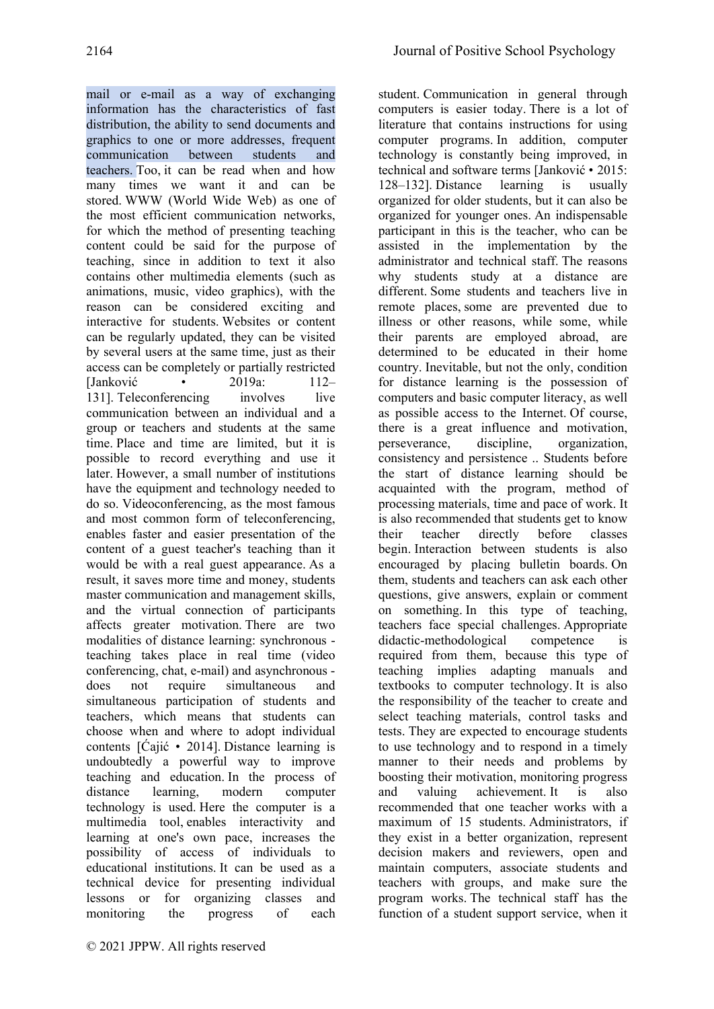student. Communication in general through

mail or e-mail as a way of exchanging information has the characteristics of fast distribution, the ability to send documents and graphics to one or more addresses, frequent communication between students and teachers. Too, it can be read when and how many times we want it and can be stored. WWW (World Wide Web) as one of the most efficient communication networks, for which the method of presenting teaching content could be said for the purpose of teaching, since in addition to text it also contains other multimedia elements (such as animations, music, video graphics), with the reason can be considered exciting and interactive for students. Websites or content can be regularly updated, they can be visited by several users at the same time, just as their access can be completely or partially restricted [Janković • 2019a: 112– 131]. Teleconferencing involves live communication between an individual and a group or teachers and students at the same time. Place and time are limited, but it is possible to record everything and use it later. However, a small number of institutions have the equipment and technology needed to do so. Videoconferencing, as the most famous and most common form of teleconferencing, enables faster and easier presentation of the content of a guest teacher's teaching than it would be with a real guest appearance. As a result, it saves more time and money, students master communication and management skills, and the virtual connection of participants affects greater motivation. There are two modalities of distance learning: synchronous teaching takes place in real time (video conferencing, chat, e-mail) and asynchronous does not require simultaneous and simultaneous participation of students and teachers, which means that students can choose when and where to adopt individual contents [Ćajić • 2014]. Distance learning is undoubtedly a powerful way to improve teaching and education. In the process of distance learning, modern computer technology is used. Here the computer is a multimedia tool, enables interactivity and learning at one's own pace, increases the possibility of access of individuals to educational institutions. It can be used as a technical device for presenting individual lessons or for organizing classes and monitoring the progress of each

computers is easier today. There is a lot of literature that contains instructions for using computer programs. In addition, computer technology is constantly being improved, in technical and software terms [Janković • 2015: 128–132]. Distance learning is usually organized for older students, but it can also be organized for younger ones. An indispensable participant in this is the teacher, who can be assisted in the implementation by the administrator and technical staff. The reasons why students study at a distance are different. Some students and teachers live in remote places, some are prevented due to illness or other reasons, while some, while their parents are employed abroad, are determined to be educated in their home country. Inevitable, but not the only, condition for distance learning is the possession of computers and basic computer literacy, as well as possible access to the Internet. Of course, there is a great influence and motivation, perseverance, discipline, organization, consistency and persistence .. Students before the start of distance learning should be acquainted with the program, method of processing materials, time and pace of work. It is also recommended that students get to know their teacher directly before classes begin. Interaction between students is also encouraged by placing bulletin boards. On them, students and teachers can ask each other questions, give answers, explain or comment on something. In this type of teaching, teachers face special challenges. Appropriate didactic-methodological competence is required from them, because this type of teaching implies adapting manuals and textbooks to computer technology. It is also the responsibility of the teacher to create and select teaching materials, control tasks and tests. They are expected to encourage students to use technology and to respond in a timely manner to their needs and problems by boosting their motivation, monitoring progress and valuing achievement. It is also recommended that one teacher works with a maximum of 15 students. Administrators, if they exist in a better organization, represent decision makers and reviewers, open and maintain computers, associate students and teachers with groups, and make sure the program works. The technical staff has the function of a student support service, when it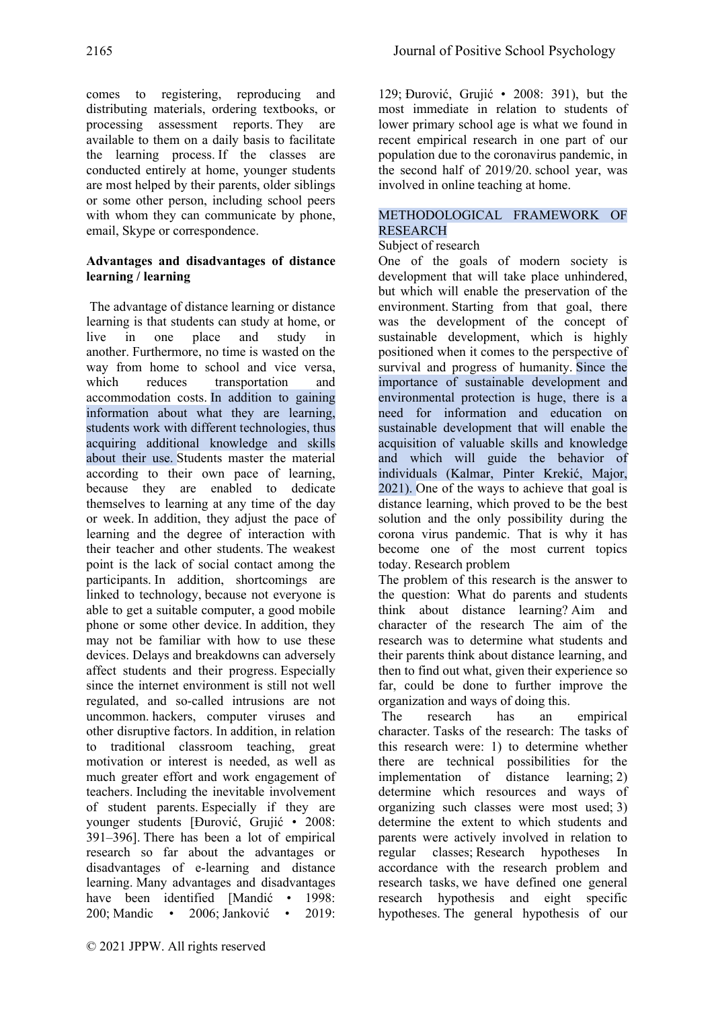comes to registering, reproducing and distributing materials, ordering textbooks, or processing assessment reports. They are available to them on a daily basis to facilitate the learning process. If the classes are conducted entirely at home, younger students are most helped by their parents, older siblings or some other person, including school peers with whom they can communicate by phone, email, Skype or correspondence.

## **Advantages and disadvantages of distance learning / learning**

The advantage of distance learning or distance learning is that students can study at home, or live in one place and study in another. Furthermore, no time is wasted on the way from home to school and vice versa, which reduces transportation and accommodation costs. In addition to gaining information about what they are learning, students work with different technologies, thus acquiring additional knowledge and skills about their use. Students master the material according to their own pace of learning, because they are enabled to dedicate themselves to learning at any time of the day or week. In addition, they adjust the pace of learning and the degree of interaction with their teacher and other students. The weakest point is the lack of social contact among the participants. In addition, shortcomings are linked to technology, because not everyone is able to get a suitable computer, a good mobile phone or some other device. In addition, they may not be familiar with how to use these devices. Delays and breakdowns can adversely affect students and their progress. Especially since the internet environment is still not well regulated, and so-called intrusions are not uncommon. hackers, computer viruses and other disruptive factors. In addition, in relation to traditional classroom teaching, great motivation or interest is needed, as well as much greater effort and work engagement of teachers. Including the inevitable involvement of student parents. Especially if they are younger students [Đurović, Grujić • 2008: 391–396]. There has been a lot of empirical research so far about the advantages or disadvantages of e-learning and distance learning. Many advantages and disadvantages have been identified [Mandić • 1998: 200; Mandic • 2006; Janković • 2019:

129; Đurović, Grujić • 2008: 391), but the most immediate in relation to students of lower primary school age is what we found in recent empirical research in one part of our population due to the coronavirus pandemic, in the second half of 2019/20. school year, was involved in online teaching at home.

# METHODOLOGICAL FRAMEWORK OF RESEARCH

# Subject of research

One of the goals of modern society is development that will take place unhindered, but which will enable the preservation of the environment. Starting from that goal, there was the development of the concept of sustainable development, which is highly positioned when it comes to the perspective of survival and progress of humanity. Since the importance of sustainable development and environmental protection is huge, there is a need for information and education on sustainable development that will enable the acquisition of valuable skills and knowledge and which will guide the behavior of individuals (Kalmar, Pinter Krekić, Major, 2021). One of the ways to achieve that goal is distance learning, which proved to be the best solution and the only possibility during the corona virus pandemic. That is why it has become one of the most current topics today. Research problem

The problem of this research is the answer to the question: What do parents and students think about distance learning? Aim and character of the research The aim of the research was to determine what students and their parents think about distance learning, and then to find out what, given their experience so far, could be done to further improve the organization and ways of doing this.

The research has an empirical character. Tasks of the research: The tasks of this research were: 1) to determine whether there are technical possibilities for the implementation of distance learning; 2) determine which resources and ways of organizing such classes were most used; 3) determine the extent to which students and parents were actively involved in relation to regular classes; Research hypotheses In accordance with the research problem and research tasks, we have defined one general research hypothesis and eight specific hypotheses. The general hypothesis of our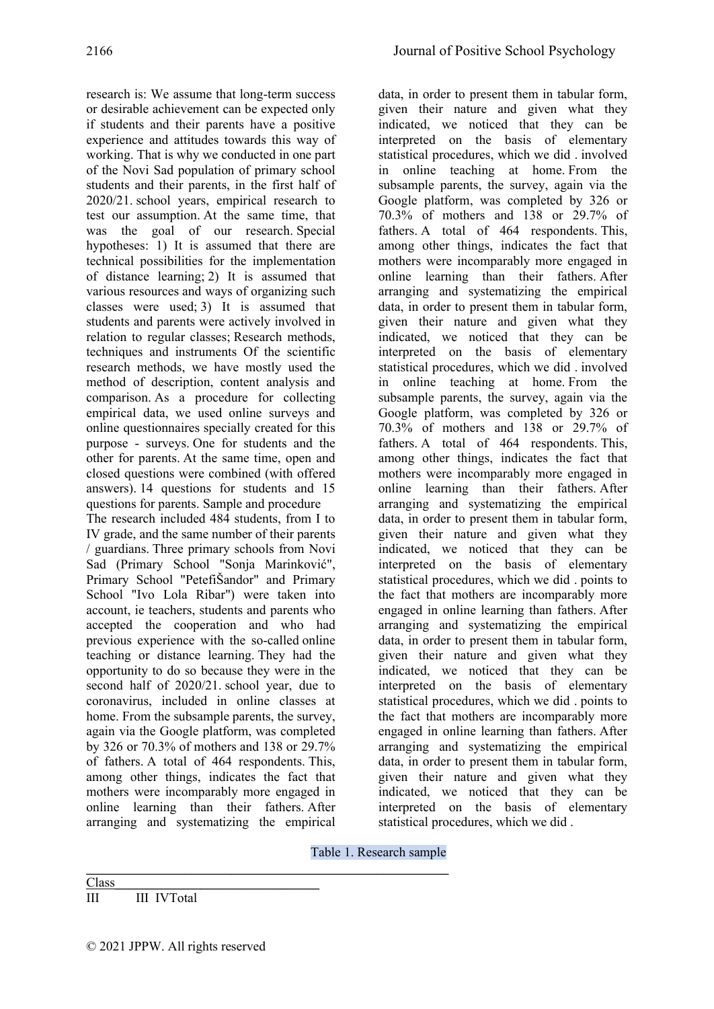research is: We assume that long-term success or desirable achievement can be expected only if students and their parents have a positive experience and attitudes towards this way of working. That is why we conducted in one part of the Novi Sad population of primary school students and their parents, in the first half of 2020/21. school years, empirical research to test our assumption. At the same time, that was the goal of our research. Special hypotheses: 1) It is assumed that there are technical possibilities for the implementation of distance learning; 2) It is assumed that various resources and ways of organizing such classes were used; 3) It is assumed that students and parents were actively involved in relation to regular classes; Research methods, techniques and instruments Of the scientific research methods, we have mostly used the method of description, content analysis and comparison. As a procedure for collecting empirical data, we used online surveys and online questionnaires specially created for this purpose - surveys. One for students and the other for parents. At the same time, open and closed questions were combined (with offered answers). 14 questions for students and 15 questions for parents. Sample and procedure

The research included 484 students, from I to IV grade, and the same number of their parents / guardians. Three primary schools from Novi Sad (Primary School "Sonja Marinković", Primary School "PetefiŠandor" and Primary School "Ivo Lola Ribar") were taken into account, ie teachers, students and parents who accepted the cooperation and who had previous experience with the so-called online teaching or distance learning. They had the opportunity to do so because they were in the second half of 2020/21. school year, due to coronavirus, included in online classes at home. From the subsample parents, the survey, again via the Google platform, was completed by 326 or 70.3% of mothers and 138 or 29.7% of fathers. A total of 464 respondents. This, among other things, indicates the fact that mothers were incomparably more engaged in online learning than their fathers. After arranging and systematizing the empirical

*\_\_\_\_\_\_\_\_\_\_\_\_\_\_\_\_\_\_\_\_\_\_\_\_\_\_\_\_\_\_\_\_\_\_\_\_\_\_\_\_\_\_\_\_\_\_\_\_\_\_\_\_\_\_\_*

data, in order to present them in tabular form, given their nature and given what they indicated, we noticed that they can be interpreted on the basis of elementary statistical procedures, which we did . involved in online teaching at home. From the subsample parents, the survey, again via the Google platform, was completed by 326 or 70.3% of mothers and 138 or 29.7% of fathers. A total of 464 respondents. This, among other things, indicates the fact that mothers were incomparably more engaged in online learning than their fathers. After arranging and systematizing the empirical data, in order to present them in tabular form, given their nature and given what they indicated, we noticed that they can be interpreted on the basis of elementary statistical procedures, which we did . involved in online teaching at home. From the subsample parents, the survey, again via the Google platform, was completed by 326 or 70.3% of mothers and 138 or 29.7% of fathers. A total of 464 respondents. This, among other things, indicates the fact that mothers were incomparably more engaged in online learning than their fathers. After arranging and systematizing the empirical data, in order to present them in tabular form, given their nature and given what they indicated, we noticed that they can be interpreted on the basis of elementary statistical procedures, which we did . points to the fact that mothers are incomparably more engaged in online learning than fathers. After arranging and systematizing the empirical data, in order to present them in tabular form, given their nature and given what they indicated, we noticed that they can be interpreted on the basis of elementary statistical procedures, which we did . points to the fact that mothers are incomparably more engaged in online learning than fathers. After arranging and systematizing the empirical data, in order to present them in tabular form, given their nature and given what they indicated, we noticed that they can be interpreted on the basis of elementary statistical procedures, which we did .

Table 1. Research sample

Class\_\_\_\_\_\_\_\_\_\_\_\_\_\_\_\_\_\_\_\_\_\_\_\_\_\_\_\_\_\_\_ III III IVTotal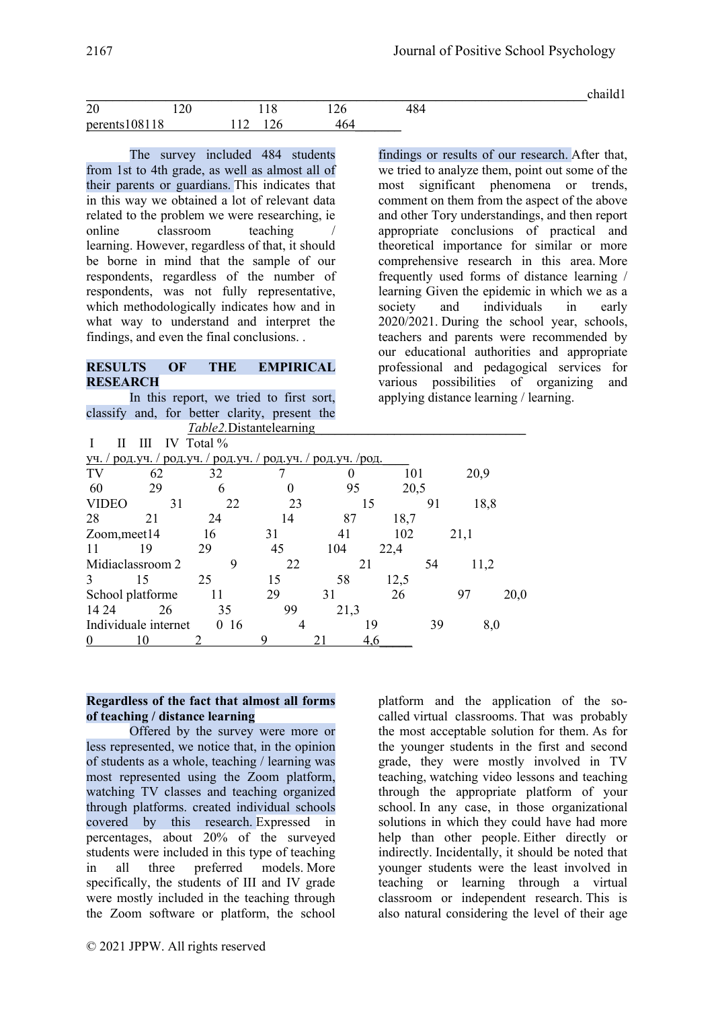|                |                                                           |  |       | $\bullet$ |
|----------------|-----------------------------------------------------------|--|-------|-----------|
| $\Omega$<br>ZU | $\sim$<br>the contract of the contract of the contract of |  | $+0+$ |           |
| 1081<br>peren' | - I Y                                                     |  |       |           |

The survey included 484 students from 1st to 4th grade, as well as almost all of their parents or guardians. This indicates that in this way we obtained a lot of relevant data related to the problem we were researching, ie online classroom teaching learning. However, regardless of that, it should be borne in mind that the sample of our respondents, regardless of the number of respondents, was not fully representative, which methodologically indicates how and in what way to understand and interpret the findings, and even the final conclusions. .

#### **RESULTS OF THE EMPIRICAL RESEARCH**

In this report, we tried to first sort, classify and, for better clarity, present the *Table2*.Distantelearning

findings or results of our research. After that, we tried to analyze them, point out some of the most significant phenomena or trends, comment on them from the aspect of the above and other Tory understandings, and then report appropriate conclusions of practical and theoretical importance for similar or more comprehensive research in this area. More frequently used forms of distance learning / learning Given the epidemic in which we as a society and individuals in early 2020/2021. During the school year, schools, teachers and parents were recommended by our educational authorities and appropriate professional and pedagogical services for various possibilities of organizing and applying distance learning / learning.

|                  |                      | IV Total $%$                                               |          |            |      |    |      |      |
|------------------|----------------------|------------------------------------------------------------|----------|------------|------|----|------|------|
| уч.              |                      | род. уч. / род. уч. / род. уч. / род. уч. / род. уч. /род. |          |            |      |    |      |      |
| TV               | 62                   | 32                                                         |          |            | 101  |    | 20,9 |      |
| 60               | 29                   | 6                                                          | $\theta$ | 20,5<br>95 |      |    |      |      |
| VIDEO            | 31                   | 22                                                         | 23       |            | 15   | 91 | 18,8 |      |
| 28               | 21                   | 24                                                         | 14       | 87         | 18,7 |    |      |      |
| Zoom, meet 14    |                      | 16                                                         | 31       | 41         | 102  |    | 21,1 |      |
| 11               | 19                   | 29                                                         | 45       | 104        | 22,4 |    |      |      |
| Midiaclassroom 2 |                      | 9                                                          | 22       | 21         |      | 54 | 11,2 |      |
| 3                | 15                   | 25                                                         | 15       | 58         | 12,5 |    |      |      |
| School platforme |                      |                                                            | 29       | 31         | 26   |    | 97   | 20,0 |
| 14 24            | 26                   | 35                                                         | 99       | 21,3       |      |    |      |      |
|                  | Individuale internet | 16<br>$\Omega$                                             |          |            | 19   | 39 | 8,0  |      |
| $\theta$         | 10                   |                                                            | 9        |            | 4.6  |    |      |      |

### **Regardless of the fact that almost all forms of teaching / distance learning**

Offered by the survey were more or less represented, we notice that, in the opinion of students as a whole, teaching / learning was most represented using the Zoom platform, watching TV classes and teaching organized through platforms. created individual schools covered by this research. Expressed in percentages, about 20% of the surveyed students were included in this type of teaching in all three preferred models. More specifically, the students of III and IV grade were mostly included in the teaching through the Zoom software or platform, the school platform and the application of the socalled virtual classrooms. That was probably the most acceptable solution for them. As for the younger students in the first and second grade, they were mostly involved in TV teaching, watching video lessons and teaching through the appropriate platform of your school. In any case, in those organizational solutions in which they could have had more help than other people. Either directly or indirectly. Incidentally, it should be noted that younger students were the least involved in teaching or learning through a virtual classroom or independent research. This is also natural considering the level of their age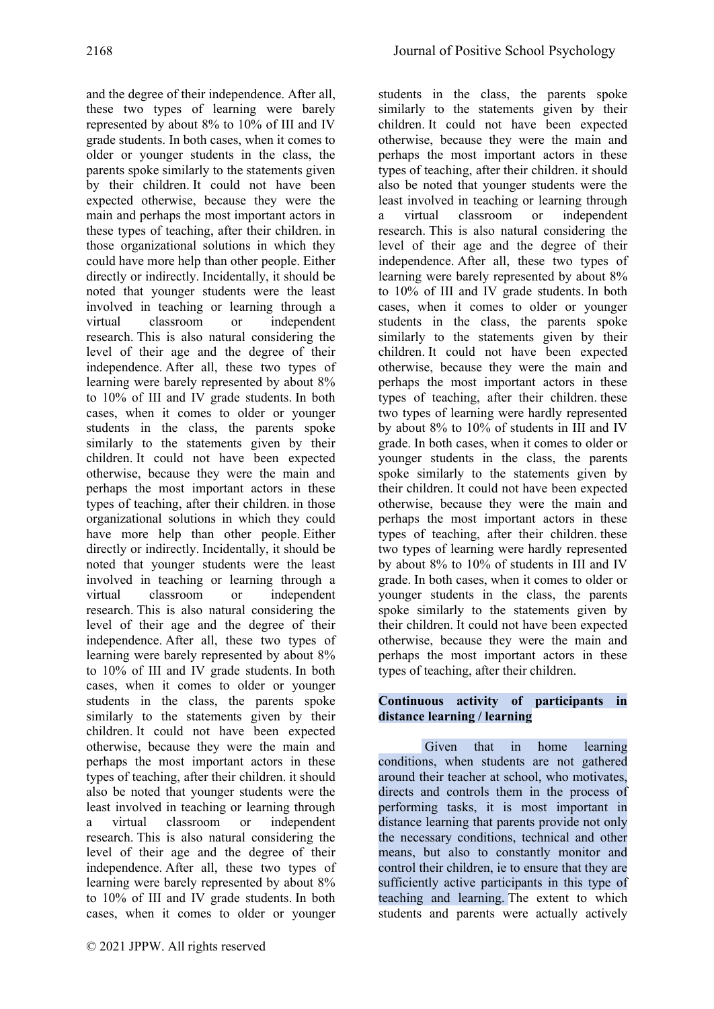and the degree of their independence. After all, these two types of learning were barely represented by about 8% to 10% of III and IV grade students. In both cases, when it comes to older or younger students in the class, the parents spoke similarly to the statements given by their children. It could not have been expected otherwise, because they were the main and perhaps the most important actors in these types of teaching, after their children. in those organizational solutions in which they could have more help than other people. Either directly or indirectly. Incidentally, it should be noted that younger students were the least involved in teaching or learning through a virtual classroom or independent research. This is also natural considering the level of their age and the degree of their independence. After all, these two types of learning were barely represented by about 8% to 10% of III and IV grade students. In both cases, when it comes to older or younger students in the class, the parents spoke similarly to the statements given by their children. It could not have been expected otherwise, because they were the main and perhaps the most important actors in these types of teaching, after their children. in those organizational solutions in which they could have more help than other people. Either directly or indirectly. Incidentally, it should be noted that younger students were the least involved in teaching or learning through a virtual classroom or independent research. This is also natural considering the level of their age and the degree of their independence. After all, these two types of learning were barely represented by about 8% to 10% of III and IV grade students. In both cases, when it comes to older or younger students in the class, the parents spoke similarly to the statements given by their children. It could not have been expected otherwise, because they were the main and perhaps the most important actors in these types of teaching, after their children. it should also be noted that younger students were the least involved in teaching or learning through a virtual classroom or independent research. This is also natural considering the level of their age and the degree of their independence. After all, these two types of learning were barely represented by about 8% to 10% of III and IV grade students. In both cases, when it comes to older or younger

students in the class, the parents spoke similarly to the statements given by their children. It could not have been expected otherwise, because they were the main and perhaps the most important actors in these types of teaching, after their children. it should also be noted that younger students were the least involved in teaching or learning through a virtual classroom or independent research. This is also natural considering the level of their age and the degree of their independence. After all, these two types of learning were barely represented by about 8% to 10% of III and IV grade students. In both cases, when it comes to older or younger students in the class, the parents spoke similarly to the statements given by their children. It could not have been expected otherwise, because they were the main and perhaps the most important actors in these types of teaching, after their children. these two types of learning were hardly represented by about 8% to 10% of students in III and IV grade. In both cases, when it comes to older or younger students in the class, the parents spoke similarly to the statements given by their children. It could not have been expected otherwise, because they were the main and perhaps the most important actors in these types of teaching, after their children. these two types of learning were hardly represented by about 8% to 10% of students in III and IV grade. In both cases, when it comes to older or younger students in the class, the parents spoke similarly to the statements given by their children. It could not have been expected otherwise, because they were the main and perhaps the most important actors in these types of teaching, after their children.

# **Continuous activity of participants in distance learning / learning**

Given that in home learning conditions, when students are not gathered around their teacher at school, who motivates, directs and controls them in the process of performing tasks, it is most important in distance learning that parents provide not only the necessary conditions, technical and other means, but also to constantly monitor and control their children, ie to ensure that they are sufficiently active participants in this type of teaching and learning. The extent to which students and parents were actually actively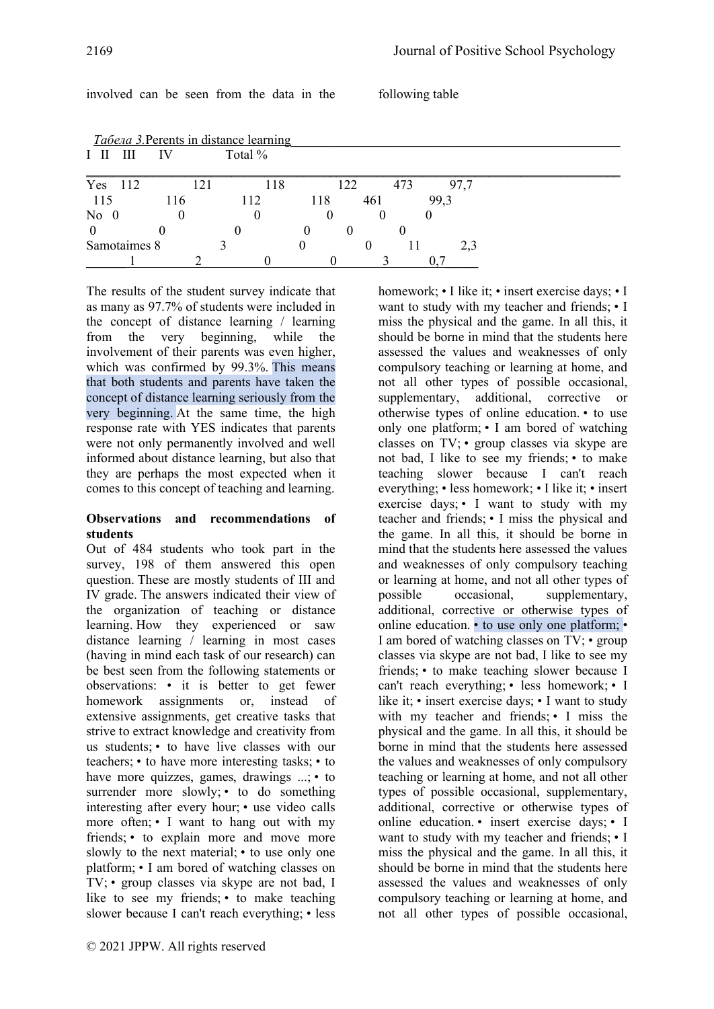homework; • I like it; • insert exercise days; • I want to study with my teacher and friends; • I

|         |              |     |             |         | <u>Табела 3. Perents in distance learning</u> |     |     |     |     |      |      |
|---------|--------------|-----|-------------|---------|-----------------------------------------------|-----|-----|-----|-----|------|------|
| LШ      | Ш            | IV  |             | Total % |                                               |     |     |     |     |      |      |
| Yes 112 |              |     | $\sqrt{21}$ |         | 118                                           |     | 122 |     | 473 |      | 97,7 |
| 115     |              | 116 |             | 112     |                                               | 118 |     | 461 |     | 99,3 |      |
| $No$ 0  |              |     |             |         |                                               |     |     |     |     |      |      |
|         |              |     |             |         |                                               |     |     |     |     |      |      |
|         | Samotaimes 8 |     |             |         |                                               |     |     |     |     |      | 2.3  |
|         |              |     |             |         |                                               |     |     |     |     |      |      |

involved can be seen from the data in the following table

The results of the student survey indicate that as many as 97.7% of students were included in the concept of distance learning / learning from the very beginning, while the involvement of their parents was even higher, which was confirmed by 99.3%. This means that both students and parents have taken the concept of distance learning seriously from the very beginning. At the same time, the high response rate with YES indicates that parents were not only permanently involved and well informed about distance learning, but also that they are perhaps the most expected when it comes to this concept of teaching and learning.

#### **Observations and recommendations of students**

Out of 484 students who took part in the survey, 198 of them answered this open question. These are mostly students of III and IV grade. The answers indicated their view of the organization of teaching or distance learning. How they experienced or saw distance learning / learning in most cases (having in mind each task of our research) can be best seen from the following statements or observations: • it is better to get fewer homework assignments or, instead of extensive assignments, get creative tasks that strive to extract knowledge and creativity from us students; • to have live classes with our teachers; • to have more interesting tasks; • to have more quizzes, games, drawings ...; • to surrender more slowly; • to do something interesting after every hour; • use video calls more often; • I want to hang out with my friends; • to explain more and move more slowly to the next material; • to use only one platform; • I am bored of watching classes on TV; • group classes via skype are not bad, I like to see my friends; • to make teaching slower because I can't reach everything; • less miss the physical and the game. In all this, it should be borne in mind that the students here assessed the values and weaknesses of only compulsory teaching or learning at home, and not all other types of possible occasional, supplementary, additional, corrective or otherwise types of online education. • to use only one platform; • I am bored of watching classes on TV; • group classes via skype are not bad, I like to see my friends; • to make teaching slower because I can't reach everything; • less homework; • I like it; • insert exercise days; • I want to study with my teacher and friends; • I miss the physical and the game. In all this, it should be borne in mind that the students here assessed the values and weaknesses of only compulsory teaching or learning at home, and not all other types of possible occasional, supplementary, additional, corrective or otherwise types of online education. • to use only one platform; • I am bored of watching classes on TV; • group classes via skype are not bad, I like to see my friends; • to make teaching slower because I can't reach everything; • less homework; • I like it; • insert exercise days; • I want to study with my teacher and friends; • I miss the physical and the game. In all this, it should be borne in mind that the students here assessed the values and weaknesses of only compulsory teaching or learning at home, and not all other types of possible occasional, supplementary, additional, corrective or otherwise types of online education. • insert exercise days; • I want to study with my teacher and friends; • I miss the physical and the game. In all this, it should be borne in mind that the students here assessed the values and weaknesses of only compulsory teaching or learning at home, and not all other types of possible occasional,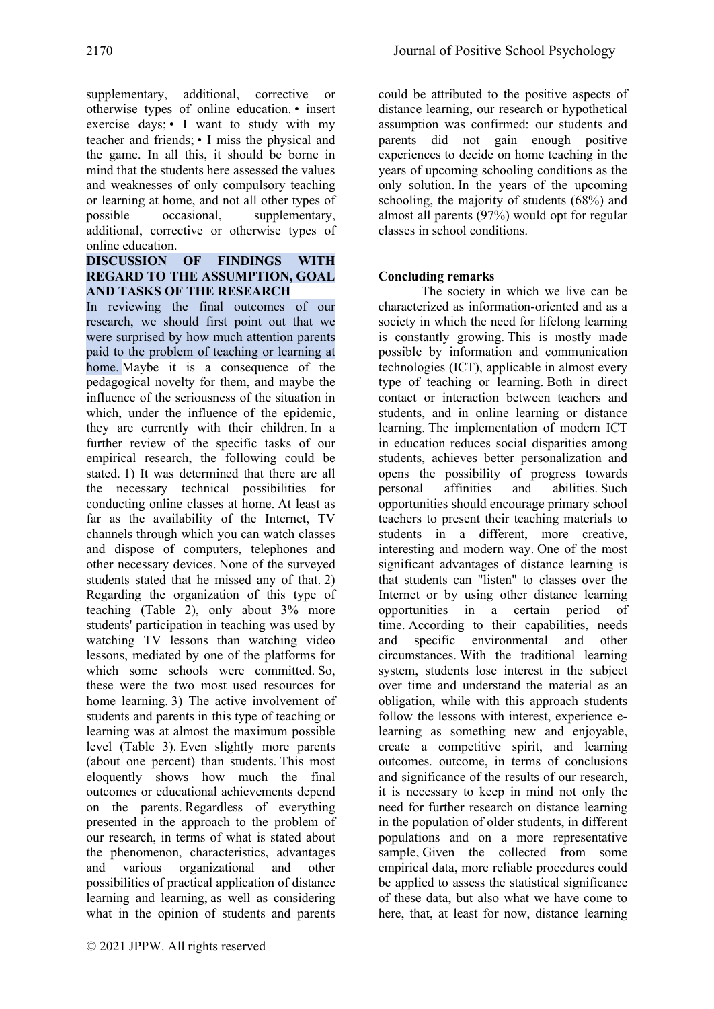supplementary, additional, corrective or otherwise types of online education. • insert exercise days; • I want to study with my teacher and friends; • I miss the physical and the game. In all this, it should be borne in mind that the students here assessed the values and weaknesses of only compulsory teaching or learning at home, and not all other types of possible occasional, supplementary, additional, corrective or otherwise types of online education.

### **DISCUSSION OF FINDINGS WITH REGARD TO THE ASSUMPTION, GOAL AND TASKS OF THE RESEARCH**

In reviewing the final outcomes of our research, we should first point out that we were surprised by how much attention parents paid to the problem of teaching or learning at home. Maybe it is a consequence of the pedagogical novelty for them, and maybe the influence of the seriousness of the situation in which, under the influence of the epidemic, they are currently with their children. In a further review of the specific tasks of our empirical research, the following could be stated. 1) It was determined that there are all the necessary technical possibilities for conducting online classes at home. At least as far as the availability of the Internet, TV channels through which you can watch classes and dispose of computers, telephones and other necessary devices. None of the surveyed students stated that he missed any of that. 2) Regarding the organization of this type of teaching (Table 2), only about 3% more students' participation in teaching was used by watching TV lessons than watching video lessons, mediated by one of the platforms for which some schools were committed. So, these were the two most used resources for home learning. 3) The active involvement of students and parents in this type of teaching or learning was at almost the maximum possible level (Table 3). Even slightly more parents (about one percent) than students. This most eloquently shows how much the final outcomes or educational achievements depend on the parents. Regardless of everything presented in the approach to the problem of our research, in terms of what is stated about the phenomenon, characteristics, advantages and various organizational and other possibilities of practical application of distance learning and learning, as well as considering what in the opinion of students and parents could be attributed to the positive aspects of distance learning, our research or hypothetical assumption was confirmed: our students and parents did not gain enough positive experiences to decide on home teaching in the years of upcoming schooling conditions as the only solution. In the years of the upcoming schooling, the majority of students (68%) and almost all parents (97%) would opt for regular classes in school conditions.

# **Concluding remarks**

The society in which we live can be characterized as information-oriented and as a society in which the need for lifelong learning is constantly growing. This is mostly made possible by information and communication technologies (ICT), applicable in almost every type of teaching or learning. Both in direct contact or interaction between teachers and students, and in online learning or distance learning. The implementation of modern ICT in education reduces social disparities among students, achieves better personalization and opens the possibility of progress towards personal affinities and abilities. Such opportunities should encourage primary school teachers to present their teaching materials to students in a different, more creative, interesting and modern way. One of the most significant advantages of distance learning is that students can "listen" to classes over the Internet or by using other distance learning opportunities in a certain period of time. According to their capabilities, needs and specific environmental and other circumstances. With the traditional learning system, students lose interest in the subject over time and understand the material as an obligation, while with this approach students follow the lessons with interest, experience elearning as something new and enjoyable, create a competitive spirit, and learning outcomes. outcome, in terms of conclusions and significance of the results of our research, it is necessary to keep in mind not only the need for further research on distance learning in the population of older students, in different populations and on a more representative sample, Given the collected from some empirical data, more reliable procedures could be applied to assess the statistical significance of these data, but also what we have come to here, that, at least for now, distance learning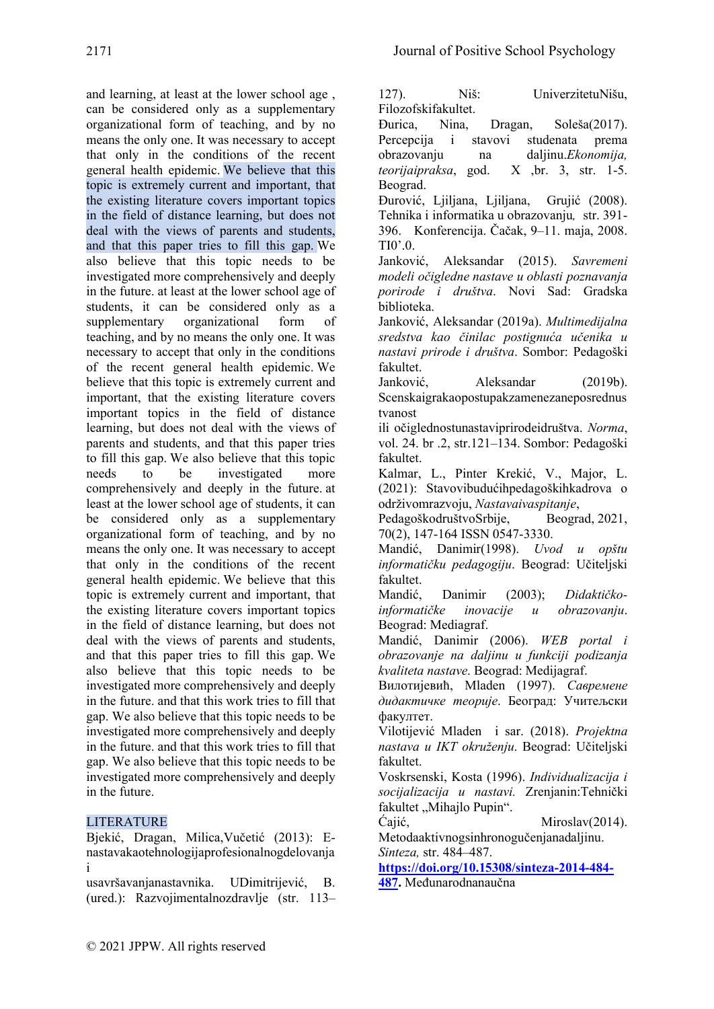and learning, at least at the lower school age , can be considered only as a supplementary organizational form of teaching, and by no means the only one. It was necessary to accept that only in the conditions of the recent general health epidemic. We believe that this topic is extremely current and important, that the existing literature covers important topics in the field of distance learning, but does not deal with the views of parents and students, and that this paper tries to fill this gap. We also believe that this topic needs to be investigated more comprehensively and deeply in the future. at least at the lower school age of students, it can be considered only as a supplementary organizational form of teaching, and by no means the only one. It was necessary to accept that only in the conditions of the recent general health epidemic. We believe that this topic is extremely current and important, that the existing literature covers important topics in the field of distance learning, but does not deal with the views of parents and students, and that this paper tries to fill this gap. We also believe that this topic needs to be investigated more comprehensively and deeply in the future. at least at the lower school age of students, it can be considered only as a supplementary organizational form of teaching, and by no means the only one. It was necessary to accept that only in the conditions of the recent general health epidemic. We believe that this topic is extremely current and important, that the existing literature covers important topics in the field of distance learning, but does not deal with the views of parents and students, and that this paper tries to fill this gap. We also believe that this topic needs to be investigated more comprehensively and deeply in the future. and that this work tries to fill that gap. We also believe that this topic needs to be investigated more comprehensively and deeply in the future. and that this work tries to fill that gap. We also believe that this topic needs to be investigated more comprehensively and deeply in the future.

# LITERATURE

Bjekić, Dragan, Milica,Vučetić (2013): Enastavakaotehnologijaprofesionalnogdelovanja i

usavršavanjanastavnika. UDimitrijević, B. (ured.): Razvojimentalnozdravlje (str. 113–

127). Niš: UniverzitetuNišu, Filozofskifakultet.

Đurica, Nina, Dragan, Soleša(2017). Percepcija i stavovi studenata prema obrazovanju na daljinu.*Ekonomija, teorijaipraksa*, god. X ,br. 3, str. 1-5. Beograd.

Đurović, Ljiljana, Ljiljana, Grujić (2008). Tehnika i informatika u obrazovanju*,* str. 391- 396. Konferencija. Čačak, 9–11. maja, 2008. ТI0'.0.

Јanković, Aleksandar (2015). *Savremeni modeli očigledne nastave u oblasti poznavanja porirode i društva*. Novi Sad: Gradska biblioteka.

Janković, Aleksandar (2019а). *Multimedijalna sredstva kao činilac postignuća učenika u nastavi prirode i društva*. Sombor: Pedagoški fakultet.

Janković, Aleksandar (2019b). Scenskaigrakaopostupakzamenezaneposrednus tvanost

ili očiglednostunastaviprirodeidruštva. *Norma*, vol. 24. br .2, str.121–134. Sombor: Pedagoški fakultet.

Kalmar, L., Pinter Krekić, V., Major, L. (2021): Stavovibudućihpedagoškihkadrova o održivomrazvoju, *Nastavaivaspitanje*,

PedagoškodruštvoSrbije, Beograd, 2021, 70(2), 147-164 ISSN 0547-3330.

Mandić, Danimir(1998). *Uvod u opštu informatičku pedagogiju*. Beograd: Učiteljski fakultet.

Mandić, Danimir (2003); *Didaktičkoinformatičke inovacije u obrazovanju*. Beograd: Mediagraf.

Mandić, Danimir (2006). *WEB portal i obrazovanje na daljinu u funkciji podizanja kvaliteta nastave*. Beograd: Medijagraf.

Вилотијевић, Мladen (1997). *Савремене дидактичке теорије*. Београд: Учитељски факултет.

Vilotijević Mladen i sar. (2018). *Projektna nastava u IKT okruženju*. Beograd: Učiteljski fakultet.

Voskrsenski, Kosta (1996). *Individualizacija i socijalizacija u nastavi.* Zrenjanin:Tehnički fakultet "Mihajlo Pupin".

Ćajić, Miroslav(2014). Metodaaktivnogsinhronogučenjanadaljinu. *Sinteza,* str. 484–487.

**[https://doi.org/10.15308/sinteza-2014-484-](https://doi.org/10.15308/sinteza-2014-484-487) [487.](https://doi.org/10.15308/sinteza-2014-484-487)** Međunarodnanaučna